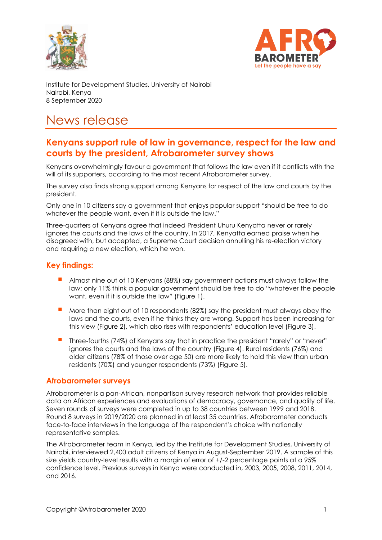



Institute for Development Studies, University of Nairobi Nairobi, Kenya 8 September 2020

# News release

## **Kenyans support rule of law in governance, respect for the law and courts by the president, Afrobarometer survey shows**

Kenyans overwhelmingly favour a government that follows the law even if it conflicts with the will of its supporters, according to the most recent Afrobarometer survey.

The survey also finds strong support among Kenyans for respect of the law and courts by the president.

Only one in 10 citizens say a government that enjoys popular support "should be free to do whatever the people want, even if it is outside the law."

Three-quarters of Kenyans agree that indeed President Uhuru Kenyatta never or rarely ignores the courts and the laws of the country. In 2017, Kenyatta earned praise when he disagreed with, but accepted, a Supreme Court decision annulling his re-election victory and requiring a new election, which he won.

## **Key findings:**

- Almost nine out of 10 Kenyans (88%) say government actions must always follow the law; only 11% think a popular government should be free to do "whatever the people want, even if it is outside the law" (Figure 1).
- More than eight out of 10 respondents (82%) say the president must always obey the laws and the courts, even if he thinks they are wrong. Support has been increasing for this view (Figure 2), which also rises with respondents' education level (Figure 3).
- Three-fourths (74%) of Kenyans say that in practice the president "rarely" or "never" ignores the courts and the laws of the country (Figure 4). Rural residents (76%) and older citizens (78% of those over age 50) are more likely to hold this view than urban residents (70%) and younger respondents (73%) (Figure 5).

#### **Afrobarometer surveys**

Afrobarometer is a pan-African, nonpartisan survey research network that provides reliable data on African experiences and evaluations of democracy, governance, and quality of life. Seven rounds of surveys were completed in up to 38 countries between 1999 and 2018. Round 8 surveys in 2019/2020 are planned in at least 35 countries. Afrobarometer conducts face-to-face interviews in the language of the respondent's choice with nationally representative samples.

The Afrobarometer team in Kenya, led by the Institute for Development Studies, University of Nairobi, interviewed 2,400 adult citizens of Kenya in August-September 2019. A sample of this size yields country-level results with a margin of error of +/-2 percentage points at a 95% confidence level. Previous surveys in Kenya were conducted in, 2003, 2005, 2008, 2011, 2014, and 2016.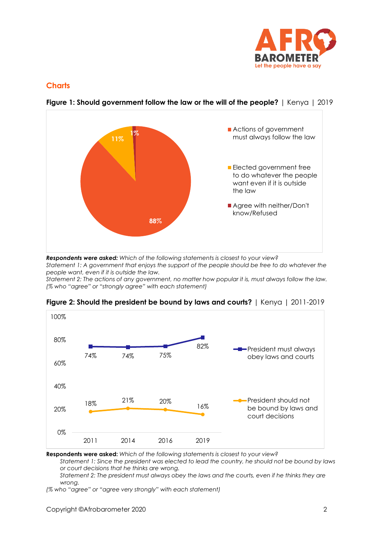

## **Charts**



**Figure 1: Should government follow the law or the will of the people?** | Kenya | 2019

*Respondents were asked: Which of the following statements is closest to your view?* 

*Statement 1: A government that enjoys the support of the people should be free to do whatever the people want, even if it is outside the law.*

*Statement 2: The actions of any government, no matter how popular it is, must always follow the law. (% who "agree" or "strongly agree" with each statement)*



**Figure 2: Should the president be bound by laws and courts?** | Kenya | 2011-2019

**Respondents were asked:** *Which of the following statements is closest to your view?* 

*Statement 1: Since the president was elected to lead the country, he should not be bound by laws or court decisions that he thinks are wrong.*

*Statement 2: The president must always obey the laws and the courts, even if he thinks they are wrong.* 

*(% who "agree" or "agree very strongly" with each statement)*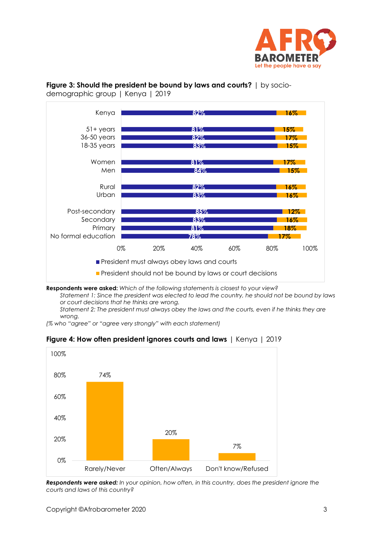



**Figure 3: Should the president be bound by laws and courts?** | by sociodemographic group | Kenya | 2019

**Respondents were asked:** *Which of the following statements is closest to your view? Statement 1: Since the president was elected to lead the country, he should not be bound by laws or court decisions that he thinks are wrong.*

*Statement 2: The president must always obey the laws and the courts, even if he thinks they are wrong.* 

*(% who "agree" or "agree very strongly" with each statement)*

**Figure 4: How often president ignores courts and laws** | Kenya | 2019



*Respondents were asked: In your opinion, how often, in this country, does the president ignore the courts and laws of this country?*